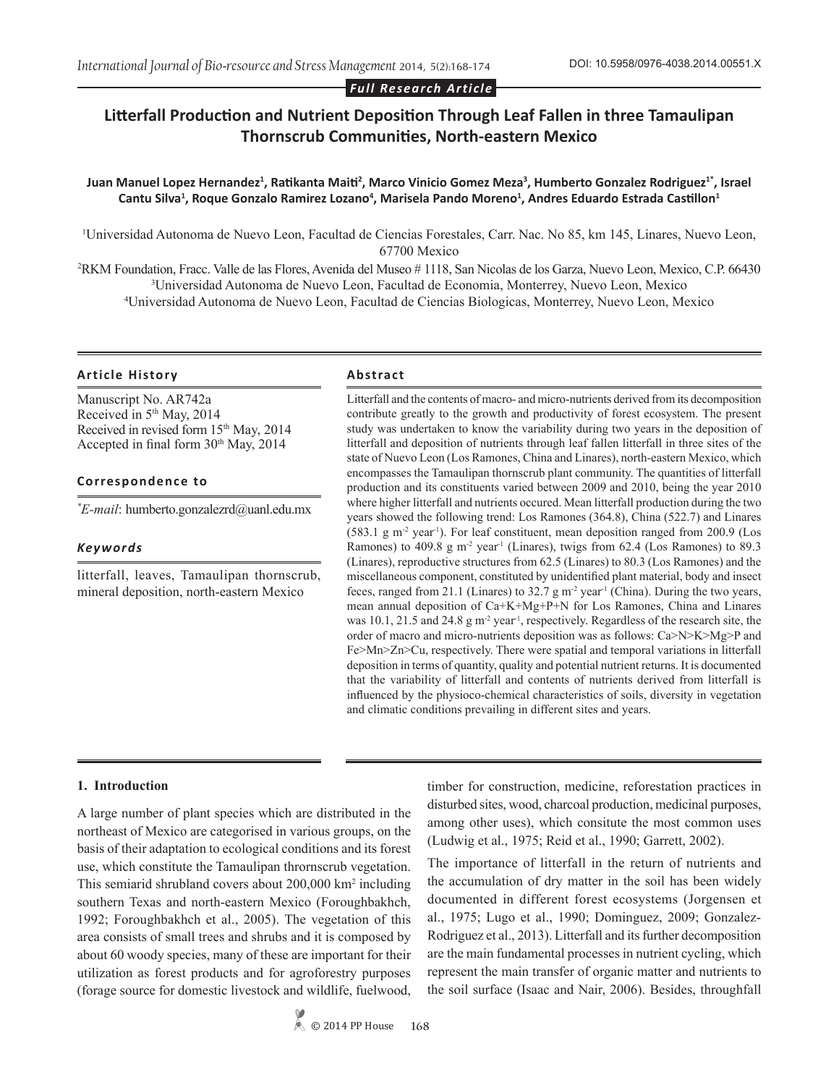#### *Full Research Article*

# **Litterfall Production and Nutrient Deposition Through Leaf Fallen in three Tamaulipan Thornscrub Communities, North-eastern Mexico**

# **Juan Manuel Lopez Hernandez<sup>1</sup> , Ratikanta Maiti<sup>2</sup> , Marco Vinicio Gomez Meza<sup>3</sup> , Humberto Gonzalez Rodriguez1\*, Israel Cantu Silva<sup>1</sup> , Roque Gonzalo Ramirez Lozano<sup>4</sup> , Marisela Pando Moreno<sup>1</sup> , Andres Eduardo Estrada Castillon<sup>1</sup>**

1 Universidad Autonoma de Nuevo Leon, Facultad de Ciencias Forestales, Carr. Nac. No 85, km 145, Linares, Nuevo Leon, 67700 Mexico

2 RKM Foundation, Fracc. Valle de las Flores, Avenida del Museo # 1118, San Nicolas de los Garza, Nuevo Leon, Mexico, C.P. 66430 3 Universidad Autonoma de Nuevo Leon, Facultad de Economia, Monterrey, Nuevo Leon, Mexico 4 Universidad Autonoma de Nuevo Leon, Facultad de Ciencias Biologicas, Monterrey, Nuevo Leon, Mexico

#### **Article History Abstract**

Manuscript No. AR742a Received in 5<sup>th</sup> May, 2014 Received in revised form 15<sup>th</sup> May, 2014 Accepted in final form  $30<sup>th</sup>$  May, 2014

# **Correspondence to**

*\* E-mail*: humberto.gonzalezrd@uanl.edu.mx

# *Keywords*

litterfall, leaves, Tamaulipan thornscrub, mineral deposition, north-eastern Mexico

Litterfall and the contents of macro- and micro-nutrients derived from its decomposition contribute greatly to the growth and productivity of forest ecosystem. The present study was undertaken to know the variability during two years in the deposition of litterfall and deposition of nutrients through leaf fallen litterfall in three sites of the state of Nuevo Leon (Los Ramones, China and Linares), north-eastern Mexico, which encompasses the Tamaulipan thornscrub plant community. The quantities of litterfall production and its constituents varied between 2009 and 2010, being the year 2010 where higher litterfall and nutrients occured. Mean litterfall production during the two years showed the following trend: Los Ramones (364.8), China (522.7) and Linares  $(583.1 \text{ g m}^2 \text{ year}^1)$ . For leaf constituent, mean deposition ranged from 200.9 (Los Ramones) to 409.8 g m<sup>-2</sup> year<sup>-1</sup> (Linares), twigs from 62.4 (Los Ramones) to 89.3 (Linares), reproductive structures from 62.5 (Linares) to 80.3 (Los Ramones) and the miscellaneous component, constituted by unidentified plant material, body and insect feces, ranged from 21.1 (Linares) to  $32.7 \text{ g m}^2$  year<sup>-1</sup> (China). During the two years, mean annual deposition of Ca+K+Mg+P+N for Los Ramones, China and Linares was  $10.1$ ,  $21.5$  and  $24.8$  g m<sup>-2</sup> year<sup>1</sup>, respectively. Regardless of the research site, the order of macro and micro-nutrients deposition was as follows: Ca>N>K>Mg>P and Fe>Mn>Zn>Cu, respectively. There were spatial and temporal variations in litterfall deposition in terms of quantity, quality and potential nutrient returns. It is documented that the variability of litterfall and contents of nutrients derived from litterfall is influenced by the physioco-chemical characteristics of soils, diversity in vegetation and climatic conditions prevailing in different sites and years.

#### **1. Introduction**

A large number of plant species which are distributed in the northeast of Mexico are categorised in various groups, on the basis of their adaptation to ecological conditions and its forest use, which constitute the Tamaulipan thrornscrub vegetation. This semiarid shrubland covers about 200,000 km<sup>2</sup> including southern Texas and north-eastern Mexico (Foroughbakhch, 1992; Foroughbakhch et al., 2005). The vegetation of this area consists of small trees and shrubs and it is composed by about 60 woody species, many of these are important for their utilization as forest products and for agroforestry purposes (forage source for domestic livestock and wildlife, fuelwood,

timber for construction, medicine, reforestation practices in disturbed sites, wood, charcoal production, medicinal purposes, among other uses), which consitute the most common uses (Ludwig et al., 1975; Reid et al., 1990; Garrett, 2002).

The importance of litterfall in the return of nutrients and the accumulation of dry matter in the soil has been widely documented in different forest ecosystems (Jorgensen et al., 1975; Lugo et al., 1990; Dominguez, 2009; Gonzalez-Rodriguez et al., 2013). Litterfall and its further decomposition are the main fundamental processes in nutrient cycling, which represent the main transfer of organic matter and nutrients to the soil surface (Isaac and Nair, 2006). Besides, throughfall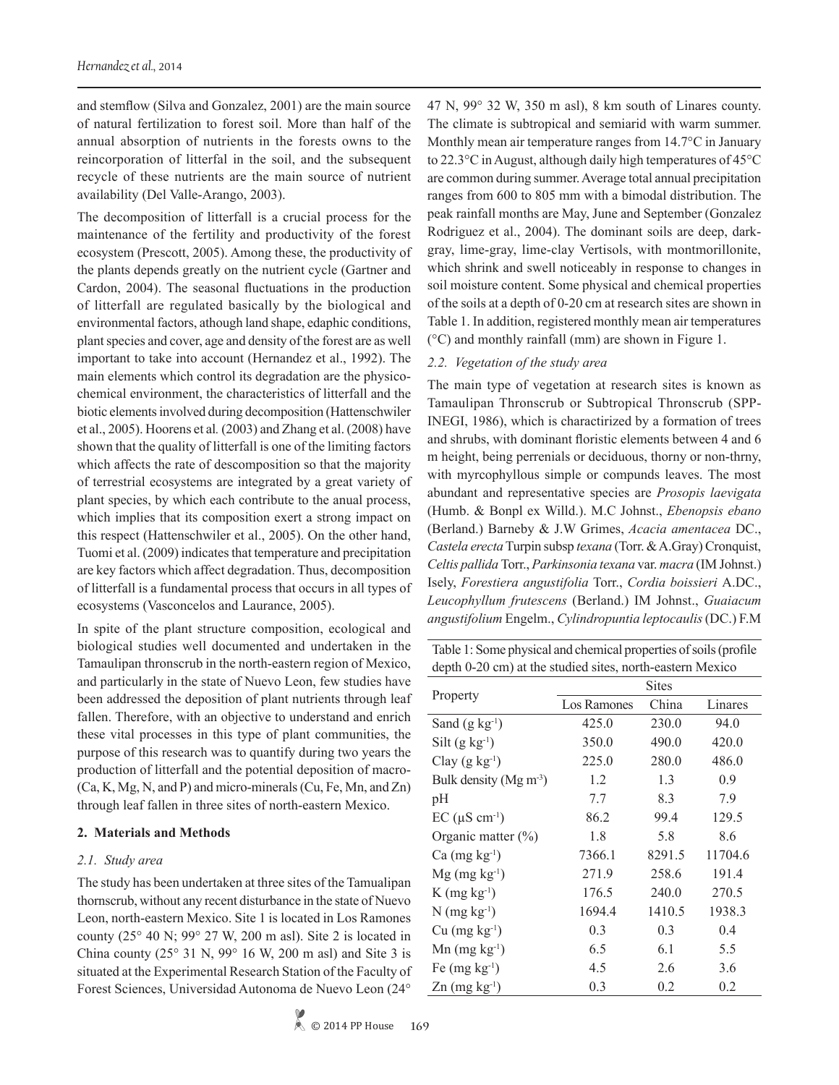and stemflow (Silva and Gonzalez, 2001) are the main source of natural fertilization to forest soil. More than half of the annual absorption of nutrients in the forests owns to the reincorporation of litterfal in the soil, and the subsequent recycle of these nutrients are the main source of nutrient availability (Del Valle-Arango, 2003).

The decomposition of litterfall is a crucial process for the maintenance of the fertility and productivity of the forest ecosystem (Prescott, 2005). Among these, the productivity of the plants depends greatly on the nutrient cycle (Gartner and Cardon, 2004). The seasonal fluctuations in the production of litterfall are regulated basically by the biological and environmental factors, athough land shape, edaphic conditions, plant species and cover, age and density of the forest are as well important to take into account (Hernandez et al., 1992). The main elements which control its degradation are the physicochemical environment, the characteristics of litterfall and the biotic elements involved during decomposition (Hattenschwiler et al., 2005). Hoorens et al*.* (2003) and Zhang et al. (2008) have shown that the quality of litterfall is one of the limiting factors which affects the rate of descomposition so that the majority of terrestrial ecosystems are integrated by a great variety of plant species, by which each contribute to the anual process, which implies that its composition exert a strong impact on this respect (Hattenschwiler et al., 2005). On the other hand, Tuomi et al. (2009) indicates that temperature and precipitation are key factors which affect degradation. Thus, decomposition of litterfall is a fundamental process that occurs in all types of ecosystems (Vasconcelos and Laurance, 2005).

In spite of the plant structure composition, ecological and biological studies well documented and undertaken in the Tamaulipan thronscrub in the north-eastern region of Mexico, and particularly in the state of Nuevo Leon, few studies have been addressed the deposition of plant nutrients through leaf fallen. Therefore, with an objective to understand and enrich these vital processes in this type of plant communities, the purpose of this research was to quantify during two years the production of litterfall and the potential deposition of macro- (Ca, K, Mg, N, and P) and micro-minerals (Cu, Fe, Mn, and Zn) through leaf fallen in three sites of north-eastern Mexico.

#### **2. Materials and Methods**

# *2.1. Study area*

The study has been undertaken at three sites of the Tamualipan thornscrub, without any recent disturbance in the state of Nuevo Leon, north-eastern Mexico. Site 1 is located in Los Ramones county (25° 40 N; 99° 27 W, 200 m asl). Site 2 is located in China county ( $25^{\circ}$  31 N,  $99^{\circ}$  16 W,  $200$  m asl) and Site 3 is situated at the Experimental Research Station of the Faculty of Forest Sciences, Universidad Autonoma de Nuevo Leon (24°

47 N, 99° 32 W, 350 m asl), 8 km south of Linares county. The climate is subtropical and semiarid with warm summer. Monthly mean air temperature ranges from 14.7°C in January to 22.3°C in August, although daily high temperatures of 45°C are common during summer. Average total annual precipitation ranges from 600 to 805 mm with a bimodal distribution. The peak rainfall months are May, June and September (Gonzalez Rodriguez et al., 2004). The dominant soils are deep, darkgray, lime-gray, lime-clay Vertisols, with montmorillonite, which shrink and swell noticeably in response to changes in soil moisture content. Some physical and chemical properties of the soils at a depth of 0-20 cm at research sites are shown in Table 1. In addition, registered monthly mean air temperatures (°C) and monthly rainfall (mm) are shown in Figure 1.

# *2.2. Vegetation of the study area*

The main type of vegetation at research sites is known as Tamaulipan Thronscrub or Subtropical Thronscrub (SPP-INEGI, 1986), which is charactirized by a formation of trees and shrubs, with dominant floristic elements between 4 and 6 m height, being perrenials or deciduous, thorny or non-thrny, with myrcophyllous simple or compunds leaves. The most abundant and representative species are *Prosopis laevigata*  (Humb. & Bonpl ex Willd.). M.C Johnst., *Ebenopsis ebano* (Berland.) Barneby & J.W Grimes, *Acacia amentacea* DC., *Castela erecta* Turpin subsp *texana* (Torr. & A.Gray) Cronquist, *Celtis pallida* Torr., *Parkinsonia texana* var. *macra* (IM Johnst.) Isely, *Forestiera angustifolia* Torr., *Cordia boissieri* A.DC., *Leucophyllum frutescens* (Berland.) IM Johnst., *Guaiacum angustifolium* Engelm., *Cylindropuntia leptocaulis* (DC.) F.M

Table 1: Some physical and chemical properties of soils (profile depth 0-20 cm) at the studied sites, north-eastern Mexico

|                                        | <b>Sites</b> |        |         |  |  |  |
|----------------------------------------|--------------|--------|---------|--|--|--|
| Property                               | Los Ramones  | China  | Linares |  |  |  |
| Sand $(g \ kg^{-1})$                   | 425.0        | 230.0  | 94.0    |  |  |  |
| $Silt(g kg-1)$                         | 350.0        | 490.0  | 420.0   |  |  |  |
| Clay $(g \ kg^{-1})$                   | 225.0        | 280.0  | 486.0   |  |  |  |
| Bulk density ( $Mg \, \text{m}^{-3}$ ) | 1.2          | 1.3    | 0.9     |  |  |  |
| pH                                     | 7.7          | 8.3    | 7.9     |  |  |  |
| $EC$ ( $\mu$ S cm <sup>-1</sup> )      | 86.2         | 99.4   | 129.5   |  |  |  |
| Organic matter $(\% )$                 | 1.8          | 5.8    | 8.6     |  |  |  |
| $Ca$ (mg $kg^{-1}$ )                   | 7366.1       | 8291.5 | 11704.6 |  |  |  |
| $Mg$ (mg kg <sup>-1</sup> )            | 271.9        | 258.6  | 191.4   |  |  |  |
| $K$ (mg kg <sup>-1</sup> )             | 176.5        | 240.0  | 270.5   |  |  |  |
| $N$ (mg kg <sup>-1</sup> )             | 1694.4       | 1410.5 | 1938.3  |  |  |  |
| $Cu$ (mg $kg^{-1}$ )                   | 0.3          | 0.3    | 0.4     |  |  |  |
| $Mn$ (mg kg <sup>-1</sup> )            | 6.5          | 6.1    | 5.5     |  |  |  |
| Fe $(mg kg-1)$                         | 4.5          | 2.6    | 3.6     |  |  |  |
| $Zn$ (mg kg <sup>-1</sup> )            | 0.3          | 0.2    | 0.2     |  |  |  |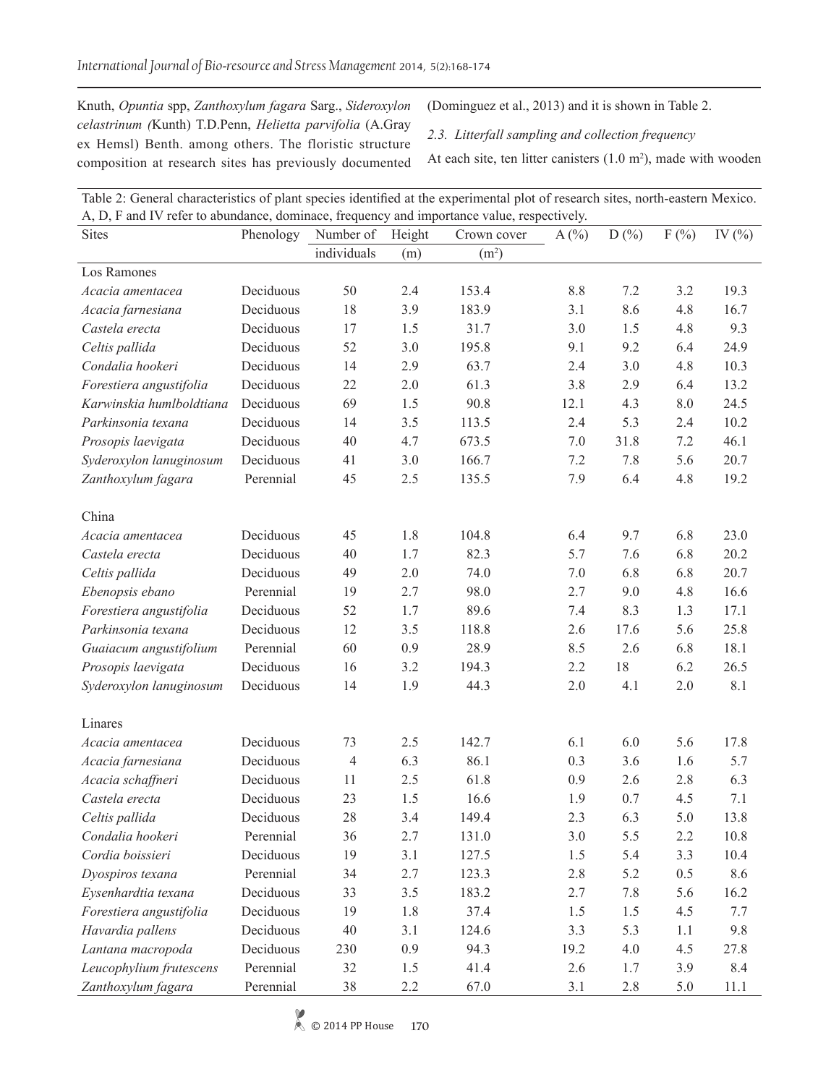Knuth, *Opuntia* spp, *Zanthoxylum fagara* Sarg., *Sideroxylon celastrinum (*Kunth) T.D.Penn, *Helietta parvifolia* (A.Gray ex Hemsl) Benth. among others. The floristic structure composition at research sites has previously documented (Dominguez et al., 2013) and it is shown in Table 2.

*2.3. Litterfall sampling and collection frequency*

At each site, ten litter canisters  $(1.0 \text{ m}^2)$ , made with wooden

| A, D, F and IV refer to abundance, dominace, frequency and importance value, respectively. |           |                |        |                   |      |         |      |            |  |  |  |
|--------------------------------------------------------------------------------------------|-----------|----------------|--------|-------------------|------|---------|------|------------|--|--|--|
| <b>Sites</b>                                                                               | Phenology | Number of      | Height | Crown cover       | A(%) | D(%)    | F(%) | IV $(\% )$ |  |  |  |
|                                                                                            |           | individuals    | (m)    | (m <sup>2</sup> ) |      |         |      |            |  |  |  |
| Los Ramones                                                                                |           |                |        |                   |      |         |      |            |  |  |  |
| Acacia amentacea                                                                           | Deciduous | 50             | 2.4    | 153.4             | 8.8  | 7.2     | 3.2  | 19.3       |  |  |  |
| Acacia farnesiana                                                                          | Deciduous | 18             | 3.9    | 183.9             | 3.1  | 8.6     | 4.8  | 16.7       |  |  |  |
| Castela erecta                                                                             | Deciduous | 17             | 1.5    | 31.7              | 3.0  | 1.5     | 4.8  | 9.3        |  |  |  |
| Celtis pallida                                                                             | Deciduous | 52             | 3.0    | 195.8             | 9.1  | 9.2     | 6.4  | 24.9       |  |  |  |
| Condalia hookeri                                                                           | Deciduous | 14             | 2.9    | 63.7              | 2.4  | 3.0     | 4.8  | 10.3       |  |  |  |
| Forestiera angustifolia                                                                    | Deciduous | 22             | 2.0    | 61.3              | 3.8  | 2.9     | 6.4  | 13.2       |  |  |  |
| Karwinskia humlboldtiana                                                                   | Deciduous | 69             | 1.5    | 90.8              | 12.1 | 4.3     | 8.0  | 24.5       |  |  |  |
| Parkinsonia texana                                                                         | Deciduous | 14             | 3.5    | 113.5             | 2.4  | 5.3     | 2.4  | 10.2       |  |  |  |
| Prosopis laevigata                                                                         | Deciduous | 40             | 4.7    | 673.5             | 7.0  | 31.8    | 7.2  | 46.1       |  |  |  |
| Syderoxylon lanuginosum                                                                    | Deciduous | 41             | 3.0    | 166.7             | 7.2  | 7.8     | 5.6  | 20.7       |  |  |  |
| Zanthoxylum fagara                                                                         | Perennial | 45             | 2.5    | 135.5             | 7.9  | 6.4     | 4.8  | 19.2       |  |  |  |
|                                                                                            |           |                |        |                   |      |         |      |            |  |  |  |
| China                                                                                      |           |                |        |                   |      |         |      |            |  |  |  |
| Acacia amentacea                                                                           | Deciduous | 45             | 1.8    | 104.8             | 6.4  | 9.7     | 6.8  | 23.0       |  |  |  |
| Castela erecta                                                                             | Deciduous | 40             | 1.7    | 82.3              | 5.7  | 7.6     | 6.8  | 20.2       |  |  |  |
| Celtis pallida                                                                             | Deciduous | 49             | 2.0    | 74.0              | 7.0  | 6.8     | 6.8  | 20.7       |  |  |  |
| Ebenopsis ebano                                                                            | Perennial | 19             | 2.7    | 98.0              | 2.7  | 9.0     | 4.8  | 16.6       |  |  |  |
| Forestiera angustifolia                                                                    | Deciduous | 52             | 1.7    | 89.6              | 7.4  | 8.3     | 1.3  | 17.1       |  |  |  |
| Parkinsonia texana                                                                         | Deciduous | 12             | 3.5    | 118.8             | 2.6  | 17.6    | 5.6  | 25.8       |  |  |  |
| Guaiacum angustifolium                                                                     | Perennial | 60             | 0.9    | 28.9              | 8.5  | 2.6     | 6.8  | 18.1       |  |  |  |
| Prosopis laevigata                                                                         | Deciduous | 16             | 3.2    | 194.3             | 2.2  | 18      | 6.2  | 26.5       |  |  |  |
| Syderoxylon lanuginosum                                                                    | Deciduous | 14             | 1.9    | 44.3              | 2.0  | 4.1     | 2.0  | 8.1        |  |  |  |
|                                                                                            |           |                |        |                   |      |         |      |            |  |  |  |
| Linares                                                                                    |           |                |        |                   |      |         |      |            |  |  |  |
| Acacia amentacea                                                                           | Deciduous | 73             | 2.5    | 142.7             | 6.1  | 6.0     | 5.6  | 17.8       |  |  |  |
| Acacia farnesiana                                                                          | Deciduous | $\overline{4}$ | 6.3    | 86.1              | 0.3  | 3.6     | 1.6  | 5.7        |  |  |  |
| Acacia schaffneri                                                                          | Deciduous | 11             | 2.5    | 61.8              | 0.9  | 2.6     | 2.8  | 6.3        |  |  |  |
| Castela erecta                                                                             | Deciduous | 23             | 1.5    | 16.6              | 1.9  | 0.7     | 4.5  | 7.1        |  |  |  |
| Celtis pallida                                                                             | Deciduous | 28             | 3.4    | 149.4             | 2.3  | 6.3     | 5.0  | 13.8       |  |  |  |
| Condalia hookeri                                                                           | Perennial | 36             | 2.7    | 131.0             | 3.0  | 5.5     | 2.2  | 10.8       |  |  |  |
| Cordia boissieri                                                                           | Deciduous | 19             | 3.1    | 127.5             | 1.5  | 5.4     | 3.3  | 10.4       |  |  |  |
| Dyospiros texana                                                                           | Perennial | 34             | 2.7    | 123.3             | 2.8  | 5.2     | 0.5  | 8.6        |  |  |  |
| Eysenhardtia texana                                                                        | Deciduous | 33             | 3.5    | 183.2             | 2.7  | 7.8     | 5.6  | 16.2       |  |  |  |
| Forestiera angustifolia                                                                    | Deciduous | 19             | 1.8    | 37.4              | 1.5  | 1.5     | 4.5  | 7.7        |  |  |  |
| Havardia pallens                                                                           | Deciduous | 40             | 3.1    | 124.6             | 3.3  | 5.3     | 1.1  | 9.8        |  |  |  |
| Lantana macropoda                                                                          | Deciduous | 230            | 0.9    | 94.3              | 19.2 | $4.0\,$ | 4.5  | 27.8       |  |  |  |
| Leucophylium frutescens                                                                    | Perennial | 32             | 1.5    | 41.4              | 2.6  | 1.7     | 3.9  | 8.4        |  |  |  |
| Zanthoxylum fagara                                                                         | Perennial |                |        |                   |      |         |      |            |  |  |  |
|                                                                                            |           | 38             | 2.2    | 67.0              | 3.1  | 2.8     | 5.0  | 11.1       |  |  |  |

Table 2: General characteristics of plant species identified at the experimental plot of research sites, north-eastern Mexico.  $\Lambda$ , D, F and IV refer to abundance, dominace, fr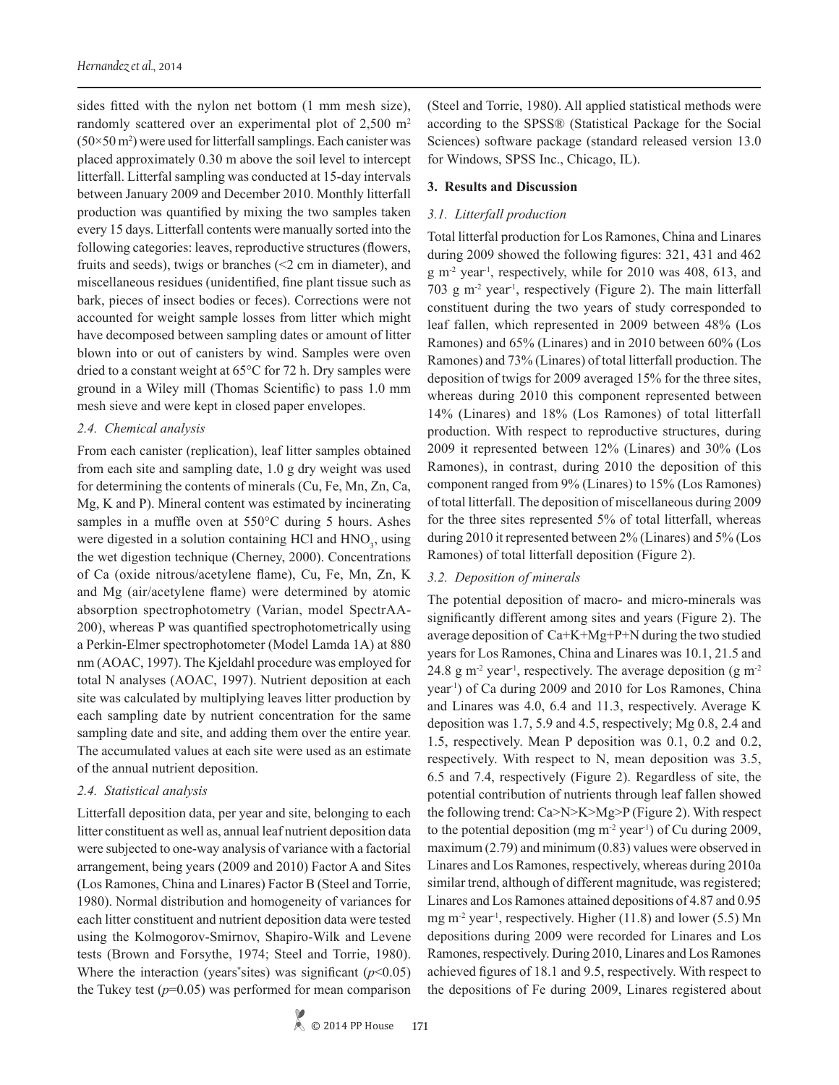sides fitted with the nylon net bottom (1 mm mesh size), randomly scattered over an experimental plot of 2,500 m<sup>2</sup>  $(50\times50 \text{ m}^2)$  were used for litterfall samplings. Each canister was placed approximately 0.30 m above the soil level to intercept litterfall. Litterfal sampling was conducted at 15-day intervals between January 2009 and December 2010. Monthly litterfall production was quantified by mixing the two samples taken every 15 days. Litterfall contents were manually sorted into the following categories: leaves, reproductive structures (flowers, fruits and seeds), twigs or branches (<2 cm in diameter), and miscellaneous residues (unidentified, fine plant tissue such as bark, pieces of insect bodies or feces). Corrections were not accounted for weight sample losses from litter which might have decomposed between sampling dates or amount of litter blown into or out of canisters by wind. Samples were oven dried to a constant weight at 65°C for 72 h. Dry samples were ground in a Wiley mill (Thomas Scientific) to pass 1.0 mm mesh sieve and were kept in closed paper envelopes.

# *2.4. Chemical analysis*

From each canister (replication), leaf litter samples obtained from each site and sampling date, 1.0 g dry weight was used for determining the contents of minerals (Cu, Fe, Mn, Zn, Ca, Mg, K and P). Mineral content was estimated by incinerating samples in a muffle oven at 550°C during 5 hours. Ashes were digested in a solution containing HCl and HNO<sub>3</sub>, using the wet digestion technique (Cherney, 2000). Concentrations of Ca (oxide nitrous/acetylene flame), Cu, Fe, Mn, Zn, K and Mg (air/acetylene flame) were determined by atomic absorption spectrophotometry (Varian, model SpectrAA-200), whereas P was quantified spectrophotometrically using a Perkin-Elmer spectrophotometer (Model Lamda 1A) at 880 nm (AOAC, 1997). The Kjeldahl procedure was employed for total N analyses (AOAC, 1997). Nutrient deposition at each site was calculated by multiplying leaves litter production by each sampling date by nutrient concentration for the same sampling date and site, and adding them over the entire year. The accumulated values at each site were used as an estimate of the annual nutrient deposition.

# *2.4. Statistical analysis*

Litterfall deposition data, per year and site, belonging to each litter constituent as well as, annual leaf nutrient deposition data were subjected to one-way analysis of variance with a factorial arrangement, being years (2009 and 2010) Factor A and Sites (Los Ramones, China and Linares) Factor B (Steel and Torrie, 1980). Normal distribution and homogeneity of variances for each litter constituent and nutrient deposition data were tested using the Kolmogorov-Smirnov, Shapiro-Wilk and Levene tests (Brown and Forsythe, 1974; Steel and Torrie, 1980). Where the interaction (years<sup>\*</sup>sites) was significant  $(p<0.05)$ the Tukey test  $(p=0.05)$  was performed for mean comparison

(Steel and Torrie, 1980). All applied statistical methods were according to the SPSS® (Statistical Package for the Social Sciences) software package (standard released version 13.0 for Windows, SPSS Inc., Chicago, IL).

# **3. Results and Discussion**

# *3.1. Litterfall production*

Total litterfal production for Los Ramones, China and Linares during 2009 showed the following figures: 321, 431 and 462  $g$  m<sup>-2</sup> year<sup>-1</sup>, respectively, while for 2010 was 408, 613, and 703 g m<sup>-2</sup> year<sup>1</sup>, respectively (Figure 2). The main litterfall constituent during the two years of study corresponded to leaf fallen, which represented in 2009 between 48% (Los Ramones) and 65% (Linares) and in 2010 between 60% (Los Ramones) and 73% (Linares) of total litterfall production. The deposition of twigs for 2009 averaged 15% for the three sites, whereas during 2010 this component represented between 14% (Linares) and 18% (Los Ramones) of total litterfall production. With respect to reproductive structures, during 2009 it represented between 12% (Linares) and 30% (Los Ramones), in contrast, during 2010 the deposition of this component ranged from 9% (Linares) to 15% (Los Ramones) of total litterfall. The deposition of miscellaneous during 2009 for the three sites represented 5% of total litterfall, whereas during 2010 it represented between 2% (Linares) and 5% (Los Ramones) of total litterfall deposition (Figure 2).

# *3.2. Deposition of minerals*

The potential deposition of macro- and micro-minerals was significantly different among sites and years (Figure 2). The average deposition of Ca+K+Mg+P+N during the two studied years for Los Ramones, China and Linares was 10.1, 21.5 and 24.8 g m<sup>-2</sup> year<sup>-1</sup>, respectively. The average deposition (g m<sup>-2</sup>) year-1) of Ca during 2009 and 2010 for Los Ramones, China and Linares was 4.0, 6.4 and 11.3, respectively. Average K deposition was 1.7, 5.9 and 4.5, respectively; Mg 0.8, 2.4 and 1.5, respectively. Mean P deposition was 0.1, 0.2 and 0.2, respectively. With respect to N, mean deposition was 3.5, 6.5 and 7.4, respectively (Figure 2). Regardless of site, the potential contribution of nutrients through leaf fallen showed the following trend: Ca>N>K>Mg>P (Figure 2). With respect to the potential deposition (mg  $m<sup>2</sup>$  year<sup>1</sup>) of Cu during 2009, maximum (2.79) and minimum (0.83) values were observed in Linares and Los Ramones, respectively, whereas during 2010a similar trend, although of different magnitude, was registered; Linares and Los Ramones attained depositions of 4.87 and 0.95 mg  $m<sup>-2</sup>$  year<sup>1</sup>, respectively. Higher (11.8) and lower (5.5) Mn depositions during 2009 were recorded for Linares and Los Ramones, respectively. During 2010, Linares and Los Ramones achieved figures of 18.1 and 9.5, respectively. With respect to the depositions of Fe during 2009, Linares registered about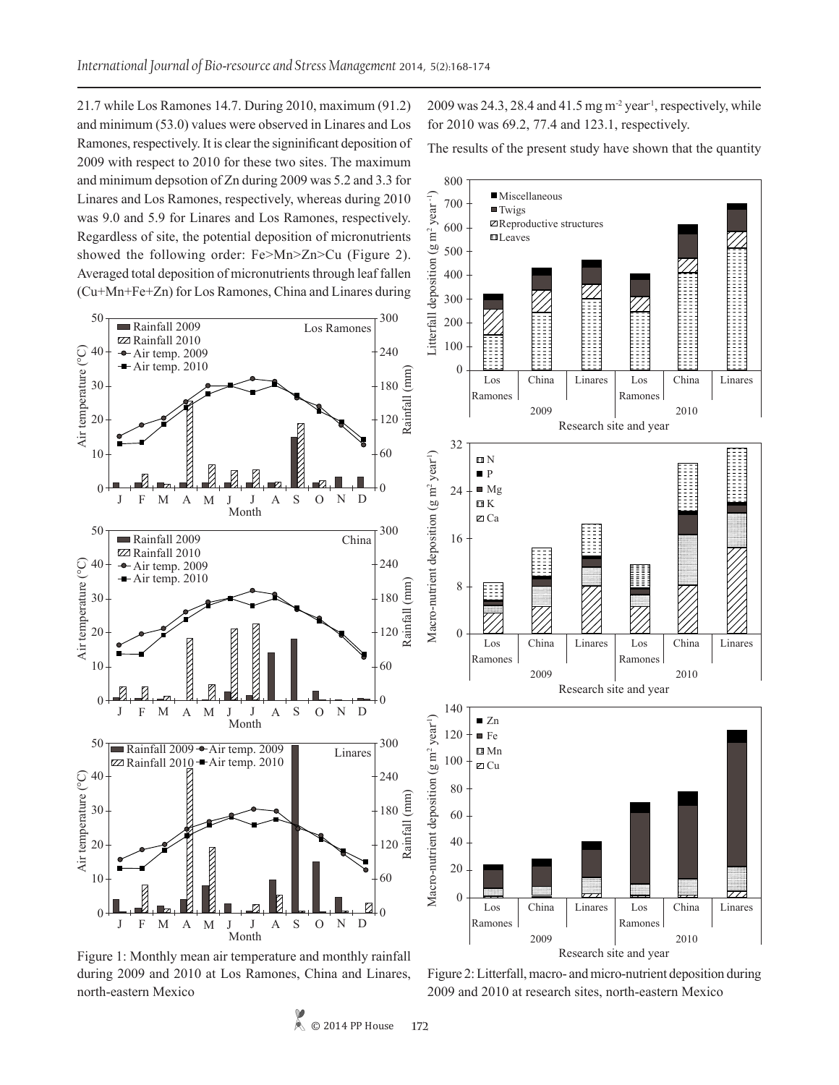21.7 while Los Ramones 14.7. During 2010, maximum (91.2) and minimum (53.0) values were observed in Linares and Los Ramones, respectively. It is clear the signinificant deposition of 2009 with respect to 2010 for these two sites. The maximum and minimum depsotion of Zn during 2009 was 5.2 and 3.3 for Linares and Los Ramones, respectively, whereas during 2010 was 9.0 and 5.9 for Linares and Los Ramones, respectively. Regardless of site, the potential deposition of micronutrients showed the following order: Fe>Mn>Zn>Cu (Figure 2). Averaged total deposition of micronutrients through leaf fallen (Cu+Mn+Fe+Zn) for Los Ramones, China and Linares during

2009 was  $24.3$ ,  $28.4$  and  $41.5$  mg m<sup>-2</sup> year<sup>1</sup>, respectively, while for 2010 was 69.2, 77.4 and 123.1, respectively.

The results of the present study have shown that the quantity

Miscellaneous



Figure 1: Monthly mean air temperature and monthly rainfall during 2009 and 2010 at Los Ramones, China and Linares, north-eastern Mexico

Figure 2: Litterfall, macro- and micro-nutrient deposition during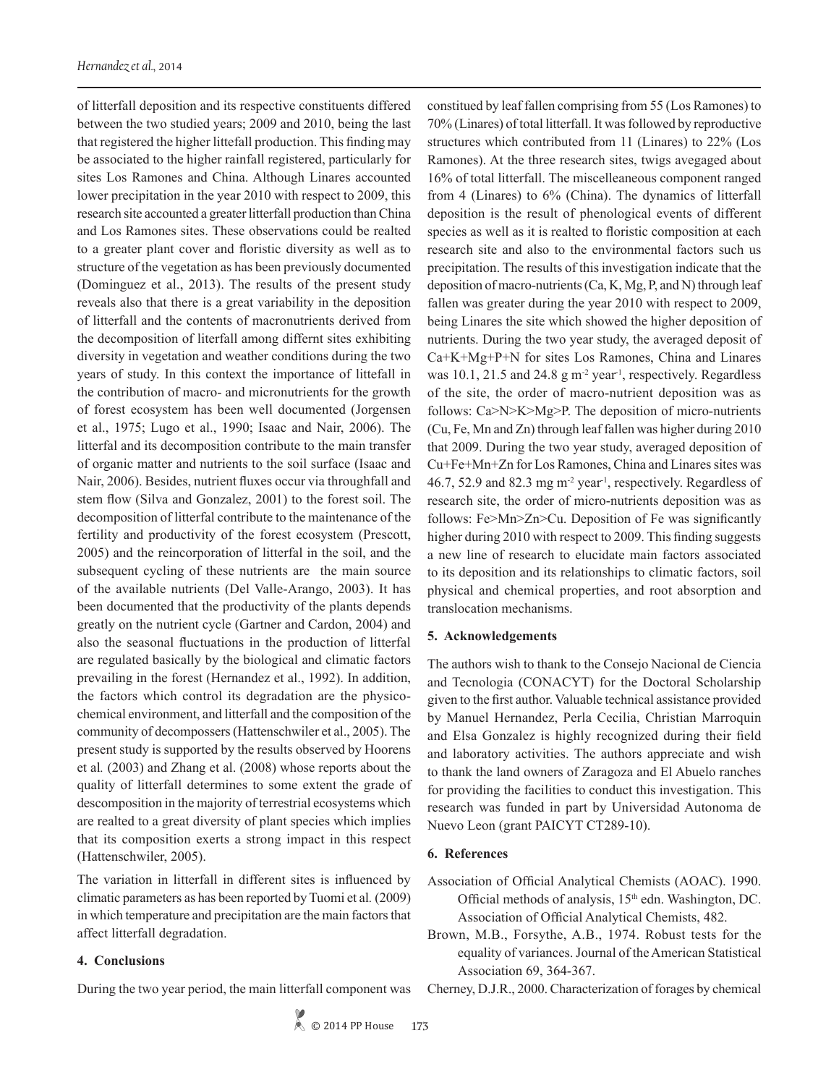of litterfall deposition and its respective constituents differed between the two studied years; 2009 and 2010, being the last that registered the higher littefall production. This finding may be associated to the higher rainfall registered, particularly for sites Los Ramones and China. Although Linares accounted lower precipitation in the year 2010 with respect to 2009, this research site accounted a greater litterfall production than China and Los Ramones sites. These observations could be realted to a greater plant cover and floristic diversity as well as to structure of the vegetation as has been previously documented (Dominguez et al., 2013). The results of the present study reveals also that there is a great variability in the deposition of litterfall and the contents of macronutrients derived from the decomposition of literfall among differnt sites exhibiting diversity in vegetation and weather conditions during the two years of study. In this context the importance of littefall in the contribution of macro- and micronutrients for the growth of forest ecosystem has been well documented (Jorgensen et al., 1975; Lugo et al., 1990; Isaac and Nair, 2006). The litterfal and its decomposition contribute to the main transfer of organic matter and nutrients to the soil surface (Isaac and Nair, 2006). Besides, nutrient fluxes occur via throughfall and stem flow (Silva and Gonzalez, 2001) to the forest soil. The decomposition of litterfal contribute to the maintenance of the fertility and productivity of the forest ecosystem (Prescott, 2005) and the reincorporation of litterfal in the soil, and the subsequent cycling of these nutrients are the main source of the available nutrients (Del Valle-Arango, 2003). It has been documented that the productivity of the plants depends greatly on the nutrient cycle (Gartner and Cardon, 2004) and also the seasonal fluctuations in the production of litterfal are regulated basically by the biological and climatic factors prevailing in the forest (Hernandez et al., 1992). In addition, the factors which control its degradation are the physicochemical environment, and litterfall and the composition of the community of decompossers (Hattenschwiler et al., 2005). The present study is supported by the results observed by Hoorens et al*.* (2003) and Zhang et al. (2008) whose reports about the quality of litterfall determines to some extent the grade of descomposition in the majority of terrestrial ecosystems which are realted to a great diversity of plant species which implies that its composition exerts a strong impact in this respect (Hattenschwiler, 2005).

The variation in litterfall in different sites is influenced by climatic parameters as has been reported by Tuomi et al*.* (2009) in which temperature and precipitation are the main factors that affect litterfall degradation.

#### **4. Conclusions**

During the two year period, the main litterfall component was

constitued by leaf fallen comprising from 55 (Los Ramones) to 70% (Linares) of total litterfall. It was followed by reproductive structures which contributed from 11 (Linares) to 22% (Los Ramones). At the three research sites, twigs avegaged about 16% of total litterfall. The miscelleaneous component ranged from 4 (Linares) to 6% (China). The dynamics of litterfall deposition is the result of phenological events of different species as well as it is realted to floristic composition at each research site and also to the environmental factors such us precipitation. The results of this investigation indicate that the deposition of macro-nutrients (Ca, K, Mg, P, and N) through leaf fallen was greater during the year 2010 with respect to 2009, being Linares the site which showed the higher deposition of nutrients. During the two year study, the averaged deposit of Ca+K+Mg+P+N for sites Los Ramones, China and Linares was  $10.1$ ,  $21.5$  and  $24.8$  g m<sup>-2</sup> year<sup>1</sup>, respectively. Regardless of the site, the order of macro-nutrient deposition was as follows: Ca>N>K>Mg>P. The deposition of micro-nutrients (Cu, Fe, Mn and Zn) through leaf fallen was higher during 2010 that 2009. During the two year study, averaged deposition of Cu+Fe+Mn+Zn for Los Ramones, China and Linares sites was 46.7, 52.9 and 82.3 mg m<sup>-2</sup> year<sup>1</sup>, respectively. Regardless of research site, the order of micro-nutrients deposition was as follows: Fe>Mn>Zn>Cu. Deposition of Fe was significantly higher during 2010 with respect to 2009. This finding suggests a new line of research to elucidate main factors associated to its deposition and its relationships to climatic factors, soil physical and chemical properties, and root absorption and translocation mechanisms.

# **5. Acknowledgements**

The authors wish to thank to the Consejo Nacional de Ciencia and Tecnologia (CONACYT) for the Doctoral Scholarship given to the first author. Valuable technical assistance provided by Manuel Hernandez, Perla Cecilia, Christian Marroquin and Elsa Gonzalez is highly recognized during their field and laboratory activities. The authors appreciate and wish to thank the land owners of Zaragoza and El Abuelo ranches for providing the facilities to conduct this investigation. This research was funded in part by Universidad Autonoma de Nuevo Leon (grant PAICYT CT289-10).

#### **6. References**

- Association of Official Analytical Chemists (AOAC). 1990. Official methods of analysis,  $15<sup>th</sup>$  edn. Washington, DC. Association of Official Analytical Chemists, 482.
- Brown, M.B., Forsythe, A.B., 1974. Robust tests for the equality of variances. Journal of the American Statistical Association 69, 364-367.

Cherney, D.J.R., 2000. Characterization of forages by chemical